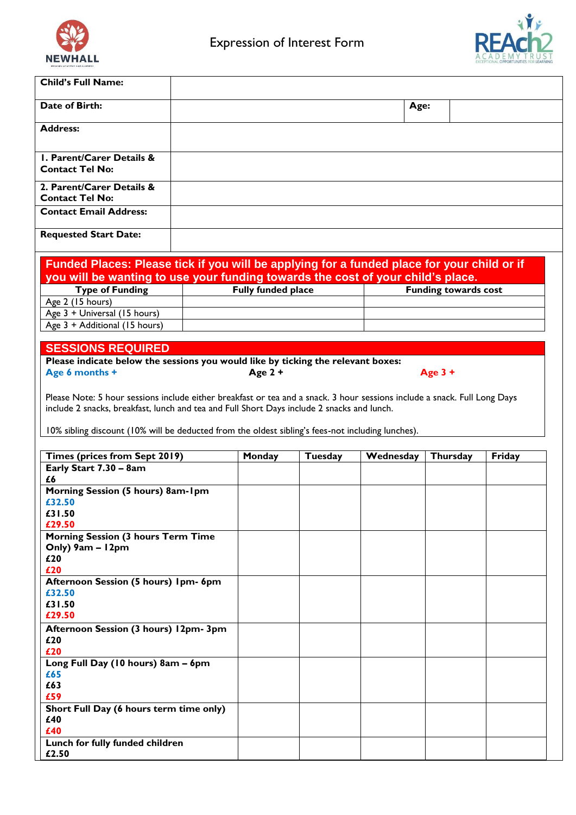



| <b>PRIMARY ACADEMY AND NURSER!</b>                                                         |                    |         |           |                             |        |
|--------------------------------------------------------------------------------------------|--------------------|---------|-----------|-----------------------------|--------|
| <b>Child's Full Name:</b>                                                                  |                    |         |           |                             |        |
| Date of Birth:                                                                             |                    |         | Age:      |                             |        |
|                                                                                            |                    |         |           |                             |        |
| <b>Address:</b>                                                                            |                    |         |           |                             |        |
| <b>I. Parent/Carer Details &amp;</b>                                                       |                    |         |           |                             |        |
| <b>Contact Tel No:</b>                                                                     |                    |         |           |                             |        |
| 2. Parent/Carer Details &<br><b>Contact Tel No:</b>                                        |                    |         |           |                             |        |
| <b>Contact Email Address:</b>                                                              |                    |         |           |                             |        |
| <b>Requested Start Date:</b>                                                               |                    |         |           |                             |        |
|                                                                                            |                    |         |           |                             |        |
| Funded Places: Please tick if you will be applying for a funded place for your child or if |                    |         |           |                             |        |
| you will be wanting to use your funding towards the cost of your child's place.            |                    |         |           |                             |        |
| <b>Type of Funding</b><br>Age 2 (15 hours)                                                 | Fully funded place |         |           | <b>Funding towards cost</b> |        |
| Age 3 + Universal (15 hours)                                                               |                    |         |           |                             |        |
| Age 3 + Additional (15 hours)                                                              |                    |         |           |                             |        |
|                                                                                            |                    |         |           |                             |        |
| <b>SESSIONS REQUIRED</b>                                                                   |                    |         |           |                             |        |
| Please indicate below the sessions you would like by ticking the relevant boxes:           |                    |         |           |                             |        |
| Age 6 months +                                                                             | Age $2 +$          |         |           | Age $3 +$                   |        |
| Times (prices from Sept 2019)                                                              | Monday             | Tuesday | Wednesday | Thursday                    | Friday |
| Early Start 7.30 - 8am                                                                     |                    |         |           |                             |        |
| £6                                                                                         |                    |         |           |                             |        |
| Morning Session (5 hours) 8am-1pm                                                          |                    |         |           |                             |        |
| £32.50<br>£31.50                                                                           |                    |         |           |                             |        |
| £29.50                                                                                     |                    |         |           |                             |        |
| <b>Morning Session (3 hours Term Time</b>                                                  |                    |         |           |                             |        |
| Only) 9am - 12pm                                                                           |                    |         |           |                             |        |
| £20                                                                                        |                    |         |           |                             |        |
| £20<br>Afternoon Session (5 hours) Ipm- 6pm                                                |                    |         |           |                             |        |
| £32.50                                                                                     |                    |         |           |                             |        |
| £31.50                                                                                     |                    |         |           |                             |        |
| £29.50                                                                                     |                    |         |           |                             |        |
| Afternoon Session (3 hours) 12pm- 3pm                                                      |                    |         |           |                             |        |
| £20                                                                                        |                    |         |           |                             |        |
| £20<br>Long Full Day (10 hours) 8am - 6pm                                                  |                    |         |           |                             |        |
| £65                                                                                        |                    |         |           |                             |        |
| £63                                                                                        |                    |         |           |                             |        |
| £59                                                                                        |                    |         |           |                             |        |
| Short Full Day (6 hours term time only)<br>£40                                             |                    |         |           |                             |        |
| £40                                                                                        |                    |         |           |                             |        |
| Lunch for fully funded children                                                            |                    |         |           |                             |        |
| £2.50                                                                                      |                    |         |           |                             |        |